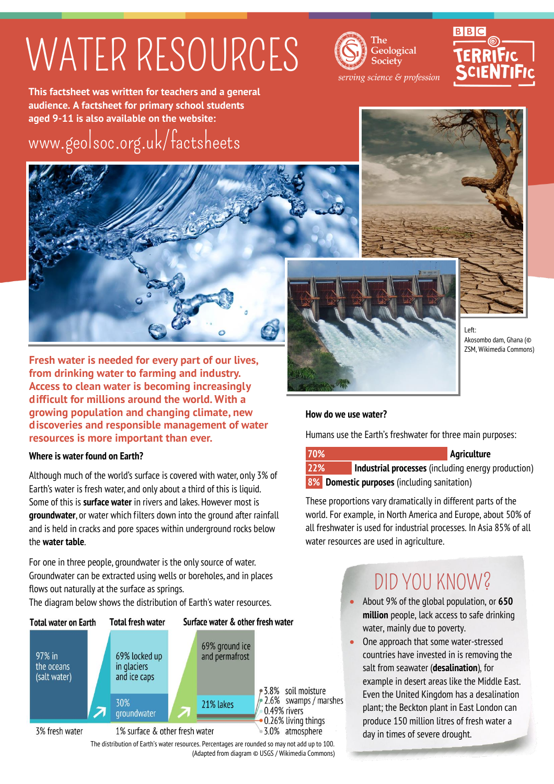## WATER RESOURCES



# **BBC**

**This factsheet was written for teachers and a general audience. A factsheet for primary school students aged 9-11 is also available on the website:**

[www.geolsoc.org.uk/factsheets](http://www.geolsoc.org.uk/factsheets)



**Fresh water is needed for every part of our lives, from drinking water to farming and industry. Access to clean water is becoming increasingly difficult for millions around the world. With a growing population and changing climate, new discoveries and responsible management of water resources is more important than ever.**

### **Where is water found on Earth?**

Although much of the world's surface is covered with water, only 3% of Earth's water is fresh water, and only about a third of this is liquid. Some of this is **surface water** in rivers and lakes. However most is **groundwater**, or water which filters down into the ground after rainfall and is held in cracks and pore spaces within underground rocks below the **water table**.

For one in three people, groundwater is the only source of water. Groundwater can be extracted using wells or boreholes, and in places flows out naturally at the surface as springs.

The diagram below shows the distribution of Earth's water resources.



The distribution of Earth's water resources. Percentages are rounded so may not add up to 100. (Adapted from diagram © USGS / Wikimedia Commons)







Left: Akosombo dam, Ghana (© ZSM, Wikimedia Commons)

## **How do we use water?**

Humans use the Earth's freshwater for three main purposes:

*70%* **<b>Agriculture 22% Industrial processes** (including energy production) **8% Domestic purposes** (including sanitation)

These proportions vary dramatically in different parts of the world. For example, in North America and Europe, about 50% of all freshwater is used for industrial processes. In Asia 85% of all water resources are used in agriculture.

## DID YOU KNOW?

- About 9% of the global population, or **650 million** people, lack access to safe drinking water, mainly due to poverty.
- One approach that some water-stressed countries have invested in is removing the salt from seawater (**desalination**), for example in desert areas like the Middle East. Even the United Kingdom has a desalination plant; the Beckton plant in East London can produce 150 million litres of fresh water a day in times of severe drought.